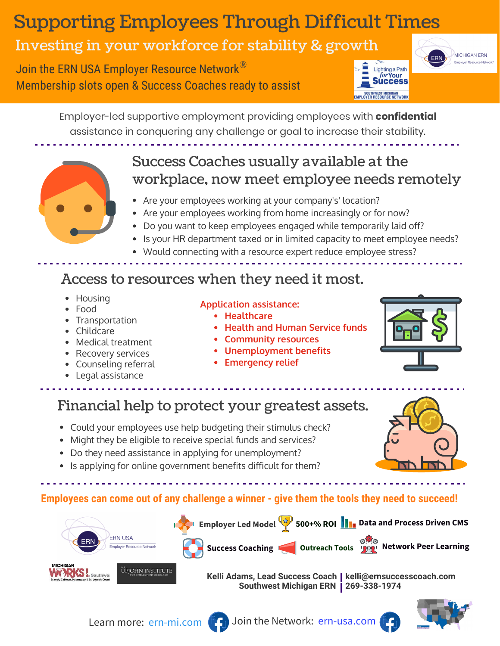## Supporting Employees Through Difficult Times

### Investing in your workforce for stability & growth

Join the ERN USA Employer Resource Network<sup>®</sup> Membership slots open & Success Coaches ready to assist



**MICHIGAN FRN** 

Employer-led supportive employment providing employees with **confidential**  assistance in conquering any challenge or goal to increase their stability.

### Success Coaches usually available at the workplace, now meet employee needs remotely

- Are your employees working at your company's' location?
- Are your employees working from home increasingly or for now?
- Do you want to keep employees engaged while temporarily laid off?
- Is your HR department taxed or in limited capacity to meet employee needs?
- Would connecting with a resource expert reduce employee stress?

#### Access to resources when they need it most.

- Housing
- Food
- Transportation
- Childcare
- Medical treatment
- Recovery services
- Counseling referral
- Legal assistance

#### **Application assistance:**

- **Healthcare**
- **Health and Human Service funds**
- **Community resources**
- **Unemployment benefits**
- **Emergency relief**



- Could your employees use help budgeting their stimulus check?
- Might they be eligible to receive special funds and services?
- Do they need assistance in applying for unemployment?
- Is applying for online government benefits difficult for them?

**Employees can come out of any challenge a winner - give them the tools they need to succeed!**



**Kelli Adams, Lead Success Coach kelli@ernsuccesscoach.com Southwest Michigan ERN 269-338-1974**